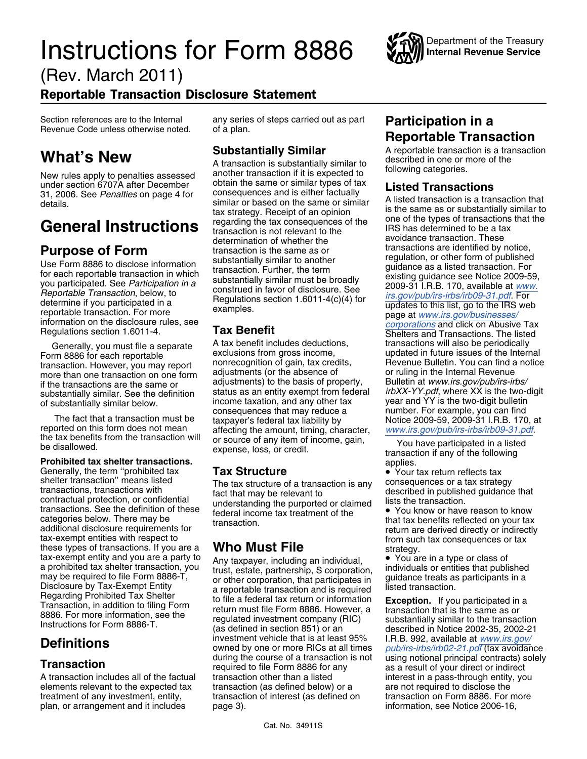## **Instructions for Form 8886**



(Rev. March 2011)

### Reportable Transaction Disclosure Statement

Generally, the term "prohibited tax<br>
shelter transaction" means listed<br>
transactions, transactions with<br>
contractual protection, or confidential<br>
transactions. See the definition of these<br>
federal income tax transaction of categories below. There may be<br>tax-exempt entities with respect to<br>tax-exempt entities with respect to<br>these types of transactions. If you are a<br>tax-exempt entities with respect to<br>these types of transactions. If you are a

New rules apply to penalties assessed another transaction if it is expected to<br>under section 6707A after December obtain the same or similar types of tax **Listed Transactions**<br>31, 2006. See *Penalties* on page 4 for conseq

Generally, you must file a separate discussions form discult includes deductions, transactions will also be periodically<br>In 8886 for each reportable exclusions from gross income, bupdated in future issues of the Interi transaction. However, you may report and nonrecognition or gain, tax credits, the revenue Bulletin. You can find a<br>more than one transaction on one form adjustments (or the absence of a normal providing in the Internal Rev more than one transaction on one form adjustments (or the absence of or ruling in the Internal Hevenue<br>if the transactions are the same or adjustments) to the basis of property, Bulletin at www.irs.gov/pub/irs-irbs/ substantially similar. See the definition<br>of substantially similar below.<br>
The fact that a transaction must be<br>
the tax benefits from the transaction must be<br>
the tax benefits from the transaction will<br>
the tax benefits fr

transactions. See the definition of these federal income tax treatment of the • You know or have reason to know<br>categories below. There may be transaction the transaction the transaction

investment vehicle that is at least 95% I.R.B. 992, available at *[www.irs.gov/](http://www.irs.gov/pub/irs-irbs/irb02-21.pdf)*<br>
owned by one or more RICs at all times *[pub/irs-irbs/irb02-21.pdf](http://www.irs.gov/pub/irs-irbs/irb02-21.pdf)* (tax avoidance<br>
ouring the course of a transaction is not in using notiona A transaction includes all of the factual transaction other than a listed interest in a pass-through entity, you<br>
elements relevant to the expected tax transaction (as defined below) or a are not required to disclose the elements relevant to the expected tax transaction (as defined below) or a are not required to disclose the treatment of any investment, entity, transaction of interest (as defined on transaction on Form 8886. For more transaction of interest (as defined on plan, or arrangement and it includes page 3). The page of the state of information, see Notice 2006-16,

## Section references are to the Internal any series of steps carried out as part **Participation in a** Revenue Code unless otherwise noted. of a plan. **Reportable Transaction**

**What's New**<br>A transaction is substantially similar to the contrable transaction is a transaction<br>New rules apply to penalties assessed another transaction if it is expected to following categories.

31, 2006. See *Penalties* on page 4 for consequences and is either factually a similar or based on the same or similar A listed transaction is a transaction that details. tax strategy. Receipt of an opinion<br>
transaction is not relevant to the<br>
transaction is not relevant to the<br>
determination of whether the<br>
determination of whether the<br>
determination of whether the<br>
determination of whethe **Purpose of Form**<br>
Use Form 8886 to disclose information<br>
Use Form 8886 to disclose information<br>
Use Form 8886 to disclose information<br>
transaction is the same as or<br>
Use Form 8886 to disclose information<br>
outed in which<br> information on the disclosure rules, see **Tax Benefit Shelters and Transactions and Transactions. The listed**<br>Regulations section 1.6011-4. **Tax Benefit Shelters and Transactions. The listed** Form 8886 for each reportable exclusions from gross income, explored in future issues of the Internal<br>
Fransaction However, you may report nonrecognition of gain, tax credits, Revenue Bulletin. You can find a notice adjustments) to the basis of property, Bulletin at *www.irs.gov/pub/irs-irbs/*<br>if the transactions are the same or adjustments) to the basis of property, Bulletin at *www.irs.gov/pub/irs-irbs/*<br>substantially similar. See t

during the course of a transaction is not using notional principal contracts) solely required to file Form 8886 for any as a result of your direct or indirect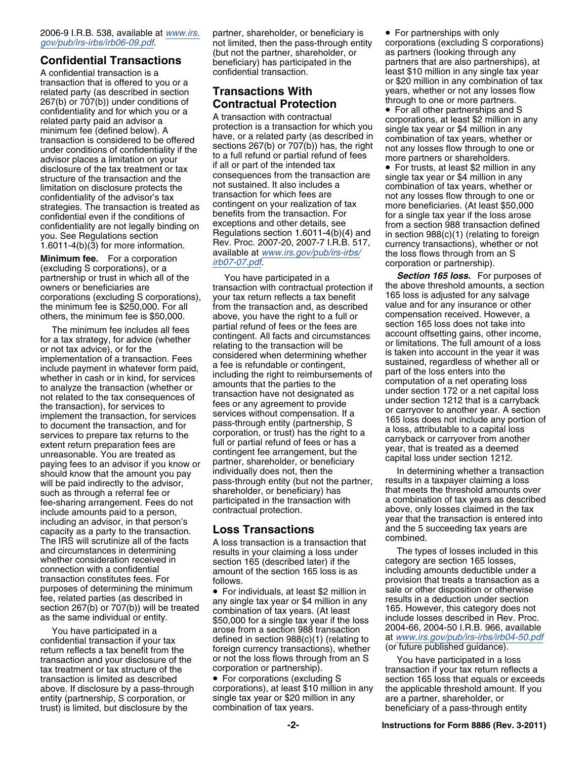## 2006-9 I.R.B. 538, available at *[www.irs.](http://www.irs.gov/pub/irs-irbs/irb06-09.pdf)* partner, shareholder, or beneficiary is • For partnerships with only

related party (as described in section **Transactions With** years, whether or not any losses<br>267(b) or 707(b)) under conditions of **Contractual Protection** through to one or more partners 267(b) or 707(b)) under conditions of **Contractual Protection** through to one or more partners.<br>
confidentiality and for which you or a **A** transaction with contractual **Contractum Contractum Confidential Contractus** advisor places a limitation on your to a full refund or partial refund of fees<br>disclosure of the tax treatment or tax if all or part of the intended tax

partnership or trust in which all of the You have participated in a *Section 165 loss.* For purposes of

such as through a referral fee or shareholder, or beneficiary) has that meets the threshold amounts over<br>fee-sharing arrangement. Fees do not participated in the transaction with include amounts paid to a person, contractu capacity as a party to the transaction. Loss I ransactions and the 5 indicate combined.<br>The IRS will scrutinize all of the facts A loss transaction is a transaction that combined. and circumstances in determining results in your claiming a loss under The types of losses included in this whether consideration received in section 165 (described later) if the category are section 165 losses, whether consideration received in section 165 (described later) if the connection with a confidential connection with a confidential and the section 165 loss is as including amounts deductible under a<br>transaction constitutes fees. For the follows purposes of determining the minimum fee, related parties (as described in any single tax year or \$4 million in any results in a deduction under section<br>section 267(b) or 707(b)) will be treated combination of tax years (At least 165. However, this category d section 267(b) or 707(b)) will be treated combination of tax years. (At least 165. However, this category does not<br>as the same individual or entity.  $\frac{\text{sgn}}{\text{sgn}}$  000 for a single tax year if the loss include losses des

transaction and your disclosure of the or not the loss flows through from an S You have participated in a loss<br>tax treatment or tax structure of the corporation or partnership).<br>transaction if your tax return reflects a<br>tr

(but not the partner, shareholder, or as partners (looking through any **Confidential Transactions** beneficiary) has participated in the partners that are also partnerships), at

related party paid an advisor a<br>minimum fee (defined below). A<br>transaction is a transaction for which you single tax year or \$4 million in any<br>transaction is considered to be offered have, or a related party (as described under conditions of confidentiality if the sections 267(b) or 707(b)) has, the right not any losses flow through to one or advisor places a limitation on your to a full refund or partial refund of fees more partners or sha disclosure of the tax treatment or tax if all or part of the intended tax • For trusts, at least \$2 million in any<br>structure of the transaction and the consequences from the transaction are single tax year or \$4 million in structure of the transaction and the consequences from the transaction are single tax year or \$4 million in any<br>limitation on disclosure protects the not sustained. It also includes a combination of tax years, whether or<br>c confidentiality of the advisor's tax transaction for which fees are not any losses flow through to one or<br>strategies. The transaction is treated as contingent on your realization of tax more beneficiaries. (At least \$50,00 strategies. The transaction is treated as contingent on your realization of lax<br>confidential even if the conditions of benefits from the transaction. For for a single tax year if the loss arose<br>confidentiality are not lega confidentiality are not legally binding on exceptions and other details, see from a section 988 transaction defined<br>vou. See Requiations section Regulations section 1.6011-4(b)(4) and in section 988(c)(1) (relating to fore you. See Regulations section **Regulations section 1.6011-4(b)(4)** and in section 988(c)(1) (relating to foreign<br>1.6011-4(b)(3) for more information Rev. Proc. 2007-20, 2007-7 I.R.B. 517, currency transactions), whether or 1.6011-4(b)(3) for more information. Rev. Proc. 2007-20, 2007-7 I.R.B. 517, currency transactions), whether or not available at *[www.irs.gov/pub/irs-irbs/](http://www.irs.gov/pub/irs-irbs/irb07-07.pdf)* the loss flows through from an S<br> **Minimum fee.** For a corporatio

owners or beneficiaries are transaction with contractual protection if the above threshold amounts, a section<br>corporations (excluding S corporations) vour tax return reflects a tax benefit 165 loss is adjusted for any salv corporations (excluding S corporations), your tax return reflects a tax benefit and the minimum fee is \$250,000. For all the fransaction and as described and bor any insurance or other the minimum fee is \$250,000. For all from the transaction and, as described value and for any insurance or other<br>others the minimum fee is \$50,000 above you have the right to a full or compensation received. However, a others, the minimum fee is \$50,000. above, you have the right to a full or compensation received. However, and the right to a full or compensation received. However, and the right of the right to a full or compensation rec The minimum fee includes all fees<br>
for a tax strategy, for advice (whether<br>
for a tax strategy, for advice (whether<br>
or income,<br>
contrigenting to the transaction will be<br>
or initiations. The full amount of a loss<br>
conside paying fees to an advisor if you know or<br>should know that the amount you pay individually does not, then the In determining whether a transaction<br>will be paid indirectly to the advisor, pass-through entity (but not the par pass-through entity (but not the partner, results in a taxpayer claiming a loss<br>shareholder, or beneficiary) has that meets the threshold amounts over

follows. Follows. Follows. Follows. For example that treats a transaction as a

• For individuals, at least \$2 million in sale or other disposition or otherwise any single tax year or \$4 million in any results in a deduction under section \$50,000 for a single tax year if the loss include losses described in Rev. Proc.<br>arose from a section 988 transaction [2004-66, 2004-50 l.R.B. 966, available You have participated in a arose from a section 988 transaction 2004-66, 2004-50 I.R.B. 966, available<br>confidential transaction if your tax defined in section 988(c)(1) (relating to at [www.irs.gov/pub/irs-irbs/irb04-50.pdf](http://www.irs.gov/pub/irs-irbs/irb04-50.pdf)

transaction is limited as described • For corporations (excluding S section 165 loss that equals or exceeds above. If disclosure by a pass-through corporations), at least \$10 million in any the applicable threshold amount. If you entity (partnership, S corporation, or single tax year or \$20 million in any are a partner, sharehol entity (partnership, S corporation, or single tax year or \$20 million in any are a partner, shareholder, or trust) is limited, but disclosure by the combination of tax years. beneficiary of a pass-through entity

not limited, then the pass-through entity corporations (excluding S corporations) A confidential transaction is a confidential transaction. least \$10 million in any single tax year transaction that is offered to you or a<br>
related party (as described in section<br> **Transactions With**<br>
vears, whether or not any losses flow<br>
related party (as described in section<br> **Transactions With**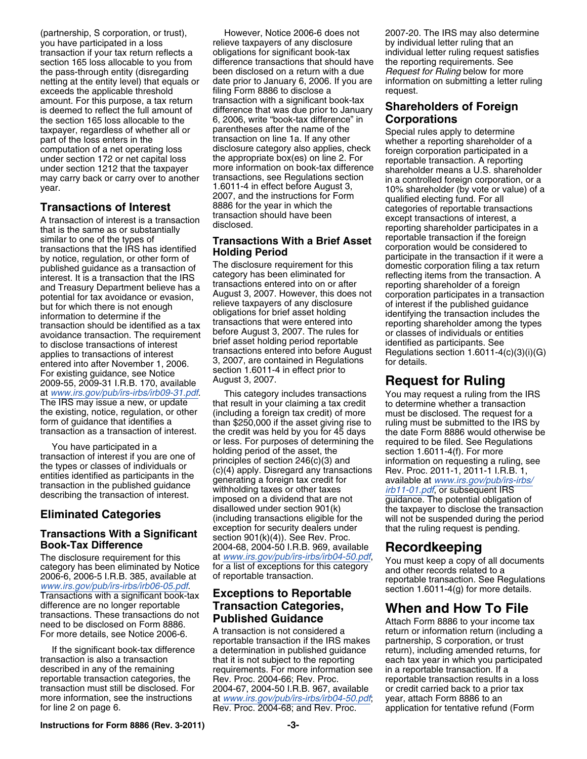netting at the entity level) that equals or amount. For this purpose, a tax return transaction with a significant book-tax the section 165 loss allocable to the <sup>6, 2006</sup>, write "book-tax difference" in taxpayer, regardless of whether all or parentheses after the name of the

similar to one of the types of<br>transactions that the IRS has identified<br>**Transactions With a Brief Asset** corporation would be considered to transactions that the IRS has identified **Holding Period**<br>by notice, regulation, or other form of **Holding Period** participate in the transaction if it were a<br>published quidance as a transaction of **The disclosure requirem** published guidance as a transaction of The disclosure requirement for this domestic corporation filing a tax return<br>interest It is a transaction that the IRS category has been eliminated for effecting items from the transa interest. It is a transaction that the IRS category has been eliminated for enterpreticting items from the transaction<br>and Treasury Department believe has a transactions entered into on or after eporting shareholder of a f and Treasury Department believe has a transactions entered into on or after<br>notential for tax avoidance or evasion August 3, 2007. However, this does not potential for tax avoidance or evasion, August 3, 2007. However, this does not corporation participates in a transaction<br>but for which there is not enough relieve taxpayers of any disclosure of interest if the published qu but for which there is not enough and the relieve taxpayers of any disclosure of interest if the published guidance<br>information to determine if the cobligations for brief asset holding identifying the transaction includes information to determine if the obligations for brief asset holding identifying the transaction includes the<br>transactions that were entered into reporting shareholder among the types transaction should be identified as a tax transactions that were entered into reporting shareholder among the types avoidance transaction. The requirement before August 3, 2007. The rules for or classes of individuals or entities<br>to disclose transactions of interest brief asset holding period reportable identified as participants. See to disclose transactions of interest brief asset holding period reportable<br>to disclose transactions of interest transactions entered into before August applies to transactions of interest transactions entered into before August Regulations section 1.6011-4(c)(3)(i)(G) entered into after November 1, 2006 3, 2007, are contained in Regulations for details. entered into after November 1, 2006. 3, 2007, are contained in Regulations for existing quidance see Notice section 1.6011-4 in effect prior to Section 1.6011-4<br>2009-55 2009-31 LB B 170 available August 3, 2007. 2009-55, 2009-31 I.R.B. 170, available August 3, 2007. **Request for Ruling**

difference are no longer reportable **Transaction Categories, When and How To File**<br>transactions. These transactions do not **Published Guidance** Attach Form 8886 to your income tax<br>For more details, see Notice 2006-6. A tra

(partnership, S corporation, or trust), However, Notice 2006-6 does not 2007-20. The IRS may also determine you have participated in a loss relieve taxpayers of any disclosure by individual letter ruling that an transaction if your tax return reflects a obligations for significant book-tax individual letter ruling request satisfies section 165 loss allocable to you from difference transactions that should have the reporting requirements. See the pass-through entity (disregarding been disclosed on a return with a due *Request for Ruling* below for more<br>
netting at the entity level) that equals or date prior to January 6, 2006. If you are information on submitti exceeds the applicable threshold filing Form 8886 to disclose a request. is deemed to reflect the full amount of difference that was due prior to January **Shareholders of Foreign**<br>the section 165 loss allocable to the 6, 2006, write "book-tax difference" in **Corporations** taxpayer, regardless of whether all or parentheses after the name of the Special rules apply to determine<br>part of the loss enters in the transaction on line 1a. If any other whether a reporting shareholder of a<br>computation may carry back or carry over to another transactions, see Regulations section<br>may carry back or carry over to another transactions, see Regulations section in a controlled foreign corporation, or a<br>year. 1.6011-4 in effect year. 1.6011-4 in effect before August 3, 10% shareholder (by vote or value) of a<br>2007, and the instructions for Form qualified electing fund. For all<br>2007, and the instructions for Form qualified electing fund. For all<br>ca

at [www.irs.gov/pub/irs-irbs/irb09-31.pdf](http://www.irs.gov/pub/irs-irbs/irb09-31.pdf). This category includes transactions You may request a ruling from the IRS<br>The IRS may issue a new, or update that result in your claiming a tax credit to determine whether a transa the existing, notice, regulation, or other (including a foreign tax credit) of more shows to be disclosed. The request for a<br>form of guidance that identifies a statution final \$250,000 if the asset giving rise to shing mus You have participated in a<br>transaction of interest if you are one of<br>the types or classes of individuals or<br>entities identified as participants in the<br>transaction in the published guidance<br>describing the transaction of in disallowed under section 901(k) the taxpayer to disclose the transaction **Eliminated Categories** (including transactions eligible for the will not be suspended during the period **Transactions With a Significant**<br> **EXCEPTION SEE ARE SERVALUES** Spending.<br> **EXCEPTION SEE ARE SUGA-50 U.B.B. 969, available**<br>
The disclosure requirement for this at *[www.irs.gov/pub/irs-irbs/irb04-50.pdf](http://www.irs.gov/pub/irs-irbs/irb04-50.pdf)*,<br>
category has

If the significant book-tax difference a determination in published guidance return), including amended returns, for<br>transaction is also a transaction that it is not subject to the reporting each tax year in which you participated described in any of the remaining requirements. For more information see in a reportable transaction. If a reportable transaction categories, the Rev. Proc. 2004-66; Rev. Proc. reportable transaction results in a loss transaction must still be disclosed. For 2004-67, 2004-50 I.R.B. 967, available or credit carried back to a prior tax<br>more information, see the instructions at www.irs.gov/pub/irs-irbs/irb04-50.pdf: vear. attach Form 8886 at *[www.irs.gov/pub/irs-irbs/irb04-50.pdf](http://www.irs.gov/pub/irs-irbs/irb04-50.pdf)*; year, attach Form 8886 to an for line 2 on page 6. The rev. Proc. 2004-68; and Rev. Proc. application for tentative refund (Form

**Transactions of Interest** a transaction of interest a transaction of interest by transaction should have been A transaction of interest is a transaction disclosed.<br>
that is the same as or substantially disclosed.<br>
that is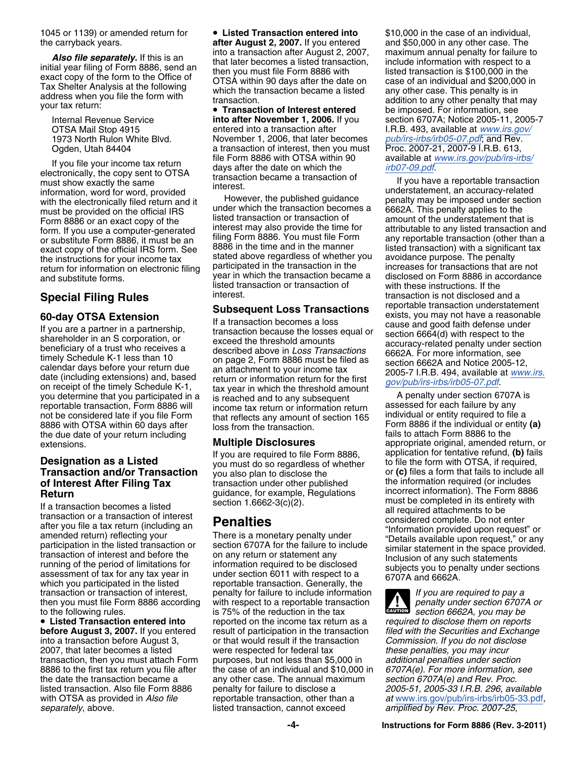1045 or 1139) or amended return for **• Listed Transaction entered into** \$10,000 in the case of an individual,

If you file your income tax return<br>electronically, the copy sent to OTSA<br>must show exactly the same<br>information, word for word, provided<br>interest. information, word for word, provided<br>with the electronically filed return and it<br>must be provided on the official IRS and the transaction becomes a 6662A. This penalty applies to the must be provided on the official IRS and under which the transaction becomes a 6662A. This penalty applies to the<br>Eorm 8886 or an exact copy of the listed transaction or transaction of amount of the understatement that is Form 8886 or an exact copy of the listed transaction or transaction or amount of the understatement that is<br>Form If you use a computer-generated linterest may also provide the time for attributable to any listed transactio form. If you use a computer-generated interest may also provide the time for form. If you use a computer-generated if iling Form 8886. You must file Form and transaction and transaction and transaction and transmitted by s exact copy of the official IRS form. See 8886 in the time and in the manner listed transaction) with a significant tax<br>the instructions for your income tax stated above regardless of whether you avoidance purpose. The pena the instructions for your income tax<br>return for information on electronic filing participated in the transaction in the increases for transactions that are not<br>and substitute forms.<br>gear in which the transaction became a d

reportable transaction, Form 8886 will income tax return or information return<br>not be considered late if you file Form that reflects any amount of section 165<br>8886 with OTSA within 60 days after loss from the transaction.<br> the due date of your return including<br>extensions **Multiple Disclosures** 

# **Transaction and/or Transaction** you also plan to disclose the or (c) files a form that fails to include of Interest After Filing Tax transaction under other published the information required (or includes

Fraction becomes a listed<br>
If a transaction or a transaction of interest<br>
after you file a tax return (including an<br>
amended return) reflecting your<br>
participation in the listed transaction or<br>
participation in the listed then you must file Form 8886 according with respect to a reportable transaction

**• Listed Transaction entered into** 

# the carryback years. **after August 2, 2007.** If you entered and \$50,000 in any other case. The

**Transaction of Interest entered** be imposed. For information, see OTSA Mail Stop 4915 entered into a transaction after **I.R.B. 493**, available at *[www.irs.gov/](http://www.irs.gov/pub/irs-irbs/irb05-07.pdf)*<br>1973 North Rulon White Blvd. **November 1, 2006, that later becomes** pub/irs-irbs/irb05-07.pdf, and Rev. November 1, 2006, that later becomes Ogden, Utah 84404 a transaction of interest, then you must Proc. 2007-21, 2007-9 I.R.B. 613,<br>If you file your income toy return and File Form 8886 with OTSA within 90 available at www.irs.gov/pub/irs-irbs/

> filing Form 8886. You must file Form any reportable transaction (other than a<br>8886 in the time and in the manner any listed transaction) with a significant tax listed transaction or transaction of

**Subsequent Loss Transactions**<br>
If you are a partner in a partnership,<br>
If a transaction becomes a loss<br>
transaction because the losses equal or<br>
scause and good faith defense under<br>
scause and good faith defense under<br>
sc

**transaction under other published quidance, for example, Requiations** 

transaction or transaction of interest, penalty for failure to include information *If you are required to pay a*<br>then you must file Form 8886 according with respect to a reportable transaction *If penalty under section 67* to the following rules. is 75% of the reduction in the tax *section 6662A, you may be* **Listed Transaction entered into** reported on the income tax return as a *required to disclose them on reports* **before August 3, 2007.** If you entered result of participation in the transaction *filed with the Securities and Exchange* into a transaction before August 3, or that would result if the transaction *Commission. If you do not disclose* 2007, that later becomes a listed were respected for federal tax *these penalties, you may incur* transaction, then you must attach Form purposes, but not less than \$5,000 in *additional penalties under section* 8886 to the first tax return you file after the case of an individual and \$10,000 in *6707A(e). For more information, see* the date the transaction became a any other case. The annual maximum *section 6707A(e) and Rev. Proc.* listed transaction. Also file Form 8886 penalty for failure to disclose a *2005-51, 2005-33 I.R.B. 296, available* with OTSA as provided in *Also file* reportable transaction, other than a *at [www.irs.gov/pub/irs-irbs/irb05-33.pdf](http://www.irs.gov/pub/irs-irbs/irb05-33.pdf), separately*, above. listed transaction, cannot exceed *amplified by Rev. Proc. 2007-25,*

**Also file separately.** If this is an into a transaction after August 2, 2007, maximum annual penalty for failure to that later becomes a listed transaction, include information with respect to a then you must file Form 88 Internal Revenue Service **into after November 1, 2006.** If you section 6707A; Notice 2005-11, 2005-7

disclosed on Form 8886 in accordance<br>with these instructions. If the **Special Filing Rules**<br>**Subsequent Loss Transactions** transaction is not disclosed and a<br>reportable transaction understatement

extensions. **Multiple Disclosures** appropriate original, amended return, or If you are required to file Form 8886, application for tentative refund, **(b)** fails<br>you must do so regardless of whether to file the form with OTSA, if required, **Designation as a Listed** you must do so regardless of whether to file the form with OTSA, if required,<br>**Transaction and/or Transaction** you also plan to disclose the or (c) files a form that fails to include all **Return** guidance, for example, Regulations incorrect information). The Form 8886<br>Return section 1 6662-3(c)(2) must be completed in its entirety with

 $\frac{1}{2}$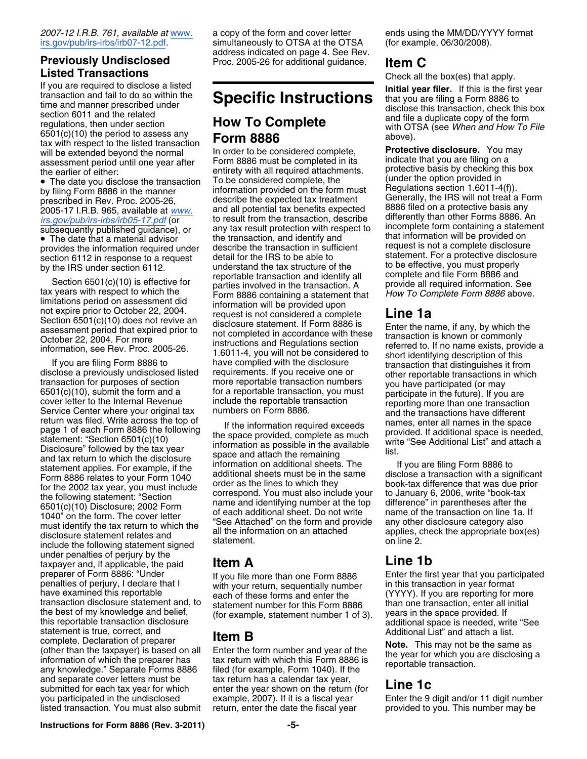## **Listed Transactions**<br>If you are required to disclose a listed<br>Initial your filer. If this is the firm

If you are required to disclose a listed<br>transaction and fail to do so within the<br>time and manner prescribed under<br>section 6011 and the related<br>regulations, then under section<br> $(6501(c)(10))$  the period to assess any<br>tax wit tax with respect to the listed transaction<br>will be extended beyond the normal ln order to be considered complete,<br>assessment period until one year after Form 8886 must be completed in its indicate that you are filing on a

meturn was filed. Write across the top of<br>
statement: "Section 6801 (c)(10)<br>
and the space provided, complete as much<br>
statement: "Section 6801 (c)(10)<br>
Disclosure" followed by the tax year<br>
and tax return to which the dis under penalties of perjury by the taxpayer and, if applicable, the paid **Item A Line 1b** preparer of Form 8886: "Under If you file more than one Form 8886 Enter the first year that you participated penalties of perjury, I declare that I with your return sequentially number in this transaction in year format penalties of perjury, I declare that I with your return, sequentially number<br>have examined this reportable exact of these forms and enter the have examined this reportable each of these forms and enter the (YYYY). If you are reporting for more transaction disclosure statement and, to statement number for this Form 8886 than one transaction, enter all initial transaction disclosure statement and, to statement number for this Form 8886 than one transaction, enter all initial<br>the best of my knowledge and belief, (for example, statement number 1 of 3), years in the space provided. the best of my knowledge and belief, interest of my knowledge and belief, interesting the space provided. If this reportable transaction disclosure additional space is needed, write "See statement is true, correct, and **ITEM B**<br>complete Declaration of preparer **ITEM B** omplete. Declaration of preparer<br>
(other than the taxpayer) is based on all<br>
information of which the preparer has the same as the year for which you are disclosing a<br>
any knowledge." Separate Forms 8886 filed (for example and separate cover letters must be tax return has a calendar tax year, submitted for each tax year for which enter the year shown on the return (for **Line 1c** you participated in the undisclosed example, 2007). If it is a fiscal year Enter the 9 digit and/or 11 digit number listed transaction. You must also submit return, enter the date the fiscal year provided to you. This number may be

2007-12 I.R.B. 761, available at <u>www</u>. a copy of the form and cover letter ends using the MM/DD/YYYY format irs.gov/pub/irs-irbs/irb07-12.pdf.<br>irs.gov/pub/irs-irbs/irb07-12.pdf. simultaneously to OTSA at the OTSA (for exa simultaneously to OTSA at the OTSA (for example, 06/30/2008). address indicated on page 4. See Rev. **Previously Undisclosed** Proc. 2005-26 for additional guidance. **Item C**

Form 8886 must be completed in its<br>the earlier of either: entirety with all required attachments. Protective basis by checking this box<br>The date you disclose the transaction To be considered complete, the (under the option • The date you disclose the transaction To be considered complete, the curricle in the option provided in by filing Form 8886 in the manner information provided on the form must Begulations section 1.6011-4(f)).<br>Begulation prescribed in Rev. Proc. 2005-26, describe the expected tax treatment Generally, the IRS will not treat a Form<br>2005-17 L.R.B. 965, available at www. and all potential tax benefits expected 8886 filed on a protective basis 2005-17 I.R.B. 965, available at *[www.](http://www.irs.gov/pub/irs-irbs/irb05-17.pdf)* and all potential tax benefits expected 8886 filed on a protective basis any<br>*irs.gov/pub/irs-irbs/irb05-17.pdf* (or besult from the transaction, describe differently than other Form [irs.gov/pub/irs-irbs/irb05-17.pdf](http://www.irs.gov/pub/irs-irbs/irb05-17.pdf) (or to result from the transaction, describe differently than other Forms 8886. An<br>subsequently published guidance), or any tax result protection with respect to incomplete form containing provides the information required under<br>section 6112 in response to a request<br>by the IRS to be able to<br>by the IRS under section 6112.<br>Section 6501(c)(10) is effective for<br>Section 6501(c)(10) is effective for<br>section 6501(c limitations period on assessment did<br>
Section 6501(c)(10) does not revive and the provided upon<br>
Section 6501(c)(10) does not revive and the considered a complete<br>
Section 6501(c)(10) does not revive and disclosure statem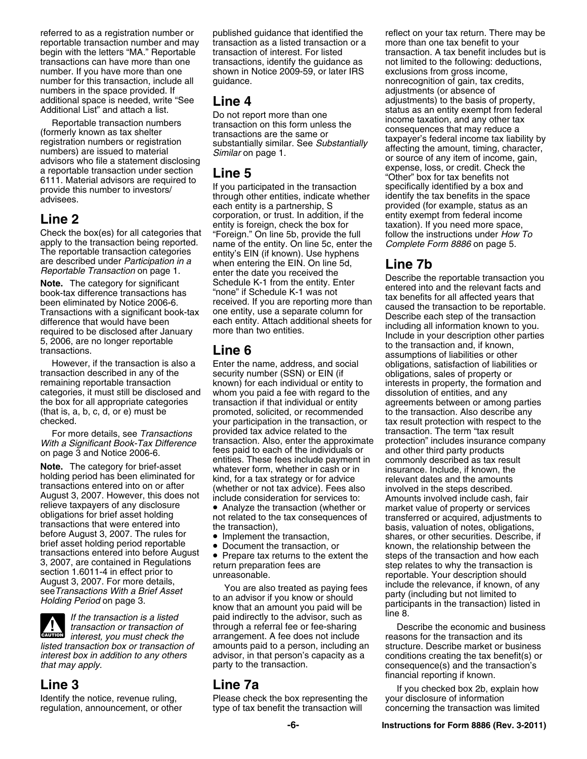referred to as a registration number or published guidance that identified the reflect on your tax return. There may be reportable transaction number and may transaction as a listed transaction or a more than one tax benefit to your transactions can have more than one transactions, identify the guidance as not limited to the following: deductions, number. If you have more than one shown in Notice 2009-59, or later IRS exclusions from gross income,<br>number for this transaction, include all guidance.<br>number for this transaction, include all guidance. number for this transaction, include all guidance. The match of gain, tax credits, numbers in the space provided. If a contract the space of adjustments (or absence of additional space is needed, write "See **Line 4** adjustments) to the basis of property,<br>Additional List" and attach a list. **De pet report mere than and status as an entity exempt from feder** 

transaction described in any of the security number (SSN) or EIN (if obligations, sales of property or<br>
remaining reportable transaction (known) for each individual or entity to interests in property, the formati remaining reportable transaction known) for each individual or entity to interests in property, the formation and<br>categories, it must still be disclosed and whom you paid a fee with regard to the dissolution of entities, a categories, it must still be disclosed and whom you paid a fee with regard to the dissolution of entities, and any<br>the box for all appropriate categories transaction if that individual or entity agreements between or among the box for all appropriate categories transaction if that individual or entity agreements between or among parties<br>(that is, a, b, c, d, or e) must be promoted, solicited, or recommended to the transaction. Also describe (that is, a, b, c, d, or e) must be promoted, solicited, or recommended to the transaction. Also describe any<br>vour participation in the transaction. or tax result protection with respect to the

Felleve taxpayers of any disclosure<br>
obligations for brief asset holding<br>
transactions that were entered into<br>
before August 3, 2007. The rules for<br>  $\bullet$  Implement the transaction.<br>  $\bullet$  Implement the transaction.<br>  $\bullet$  Im Implement the transaction, shares, or other securities. Describe, if brief asset holding period reportable • Document the transaction, or shares, or other securities. Describe, if brief asset holding period reportable • Do transactions entered into before August • Prepare tax returns to the extent the steps of the transaction and how each

 $\frac{1}{\text{Cautron}}$ 

**Line 2** corporation, or trust. In addition, if the entity exempt from federal income<br>Check the box(es) for all categories that "Foreign." On line 5b, provide the full<br>apply to the transaction being reported. name of the e apply to the transaction being reported. The magnificant orate of the entity. On line 5c, enter the complete Form 8886 on page 5.<br>The reportable transaction categors entity's EIN (if known). Use hyphens<br>are described under

However, if the transaction is also a Enter the name, address, and social obligations, satisfaction of liabilities or your participation in the transaction, or tax result protection with respect to the For more details, see *Transactions* provided tax advice related to the transaction. The term "tax result on page 3 and Notice 2006-6. The category for brief-asset ees paid to each of the individuals or and other third party products<br> **Note.** The category for brief-asset whatever form, whether in cash or in holding period has

*interest, you must check the* arrangement. A fee does not include reasons for the transaction and its *listed transaction box or transaction of* amounts paid to a person, including an structure. Describe market or business

Identify the notice, revenue ruling, Please check the box representing the your disclosure of information

begin with the letters "MA." Reportable transaction of interest. For listed transaction. A tax benefit includes but is Additional List" and attach a list.<br>
Meditional List" and attach a list.<br>
(formerly known as tax shelter<br>
transaction on this form unless the the same or<br>
transactions are the same or<br>
registration numbers or registration<br>

*With a Significant Book-Tax Difference* transaction. Also, enter the approximate protection" includes insurance company on page 3 and Notice 2006-6. The Transaction is a listed as paying fees are the transaction and how each as a contained in Regulations<br>
3, 2007, are contained in Regulations<br>
section 1.6011-4 in effect prior to unreasonable.<br>
August 3, 2007. For more

*transaction or transaction of* through a referral fee or fee-sharing **Describe the economic and business** *interest box in addition to any others* advisor, in that person's capacity as a conditions creating the tax benefit(s) or *that may apply.* **party to the transaction.** consequence(s) and the transaction's consequence(s) and the transaction's financial reporting if known.

**Line 3 Line 7a Line 7a** If you checked box 2b, explain how regulation, announcement, or other type of tax benefit the transaction will concerning the transaction was limited